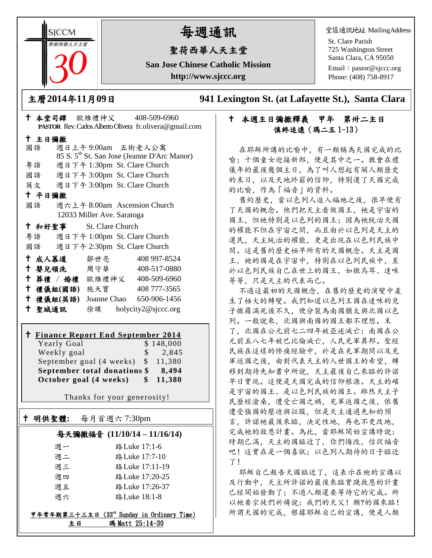**SICCM** 留荷西華人天主堂

# 每週通訊

## 聖荷西華人天主堂

**San Jose Chinese Catholic Mission http://www.sjccc.org**

堂區通訊地址 MailingAddress

St. Clare Parish 725 Washington Street Santa Clara, CA 95050

Email: [pastor@sjccc.org](mailto:pastor@sjccc.org) Phone: (408) 758-8917

主曆**2014**年**11**月**09**日 **941 Lexington St. (at Lafayette St.), Santa Clara** 

### 十 本週主日彌撒釋義 甲年 第卅二主日 慎終追遠(瑪二五 1~13)

在耶穌所講的比喻中,有一類稱為天國完成的比 喻;十個童女迎接新郎,便是其中之一。教會在禮 儀年的最後幾個主日,為了叫人想起有關人類歷史 的末日,以及天地終窮的信仰,特別選了天國完成 的比喻,作為「福音」的資料。

舊約歷史,當以色列人進入福地之後,很早便有 了天國的概念。他們把天主看做國王,祂是宇宙的 國王,但祂特別是以色列的國王;因為祂統治天國 的權能不但在宇宙之間,而且由於以色列是天主的 選民,天主統治的權能,更是出現在以色列民族中 間。這是舊約歷史極早所有的天國概念。天主是國 王, 祂的國是在宇宙中, 特別在以色列民族中, 至 於以色列民族自己在世上的國王,如撒烏耳、達味 等等,只是天主的代表而已。

不過這最初的天國概念,在舊約歷史的演變中產 生了極大的轉變。我們知道以色列王國在達味的兒 子撒羅滿死後不久,便分裂為南國猶太與北國以色 列。一般說來,北國與南國的國王都不理想。末 了,北國在公元前七二四年被亞述滅亡;南國在公 元前五八七年被巴比倫滅亡,人民充軍異邦。聖經 民族在這樣的慘痛經驗中,於是在充軍期間以及充 軍返國之後,由對代表天主的人世國王的希望,轉 移到期待先知書中所說,天主最後自己來臨的許諾 早日實現。這便是天國完成的信仰根源。天主的確 是宇宙的國王、是以色列民族的國王。雖然天主子 民歷經滄桑,遭受亡國之禍,充軍返國之後,依舊 遭受強國的壓迫與征服,但是天主通過先知的預 言,許諾祂最後來臨,決定性地,再也不更改地, 完成祂的救恩計畫。為此,當耶穌開始宣講時說: 時期已滿,天主的國臨近了,你們悔改,信從福音 吧!這實在是一個喜訊;以色列人期待的日子臨近 了!

耶穌自己報告天國臨近了,這表示在祂的宣講以 及行動中,天主所許諾的最後來臨實踐救恩的計畫 已經開始發動了;不過人類還要等待它的完成。所 以祂要宗徒們祈禱說:我們的天父!願?的國來臨! 所謂天國的完成,根據耶穌自己的宣講,便是人類

|                            |               |                                 | PASTOR Rev. Carlos Alberto Olivera fr.olivera@gmail.com |  |
|----------------------------|---------------|---------------------------------|---------------------------------------------------------|--|
| 十 主日彌撒                     |               |                                 |                                                         |  |
|                            | 國語            | 週日上午9:00am 五街老人公寓               |                                                         |  |
|                            |               |                                 | 85 S. 5 <sup>th</sup> St. San Jose (Jeanne D'Arc Manor) |  |
|                            | 粤語            | 週日下午 1:30pm St. Clare Church    |                                                         |  |
|                            |               | 國語 週日下午 3:00pm St. Clare Church |                                                         |  |
|                            |               | 英文 週日下午 3:00pm St. Clare Church |                                                         |  |
|                            | 十 平日彌撒        |                                 |                                                         |  |
|                            | 國語            | 週六上午 8:00am Ascension Church    |                                                         |  |
| 12033 Miller Ave. Saratoga |               |                                 |                                                         |  |
|                            |               | † 和好聖事 St. Clare Church         |                                                         |  |
|                            |               | 粤語 週日下午 1:00pm St. Clare Church |                                                         |  |
|                            |               | 國語 週日下午 2:30pm St. Clare Church |                                                         |  |
|                            | 十 成人慕道        | 鄒世亮                             | 408 997-8524                                            |  |
|                            |               | ← 嬰兒領洗──周守華──                   | 408-517-0880                                            |  |
|                            |               | + 葬禮 / 婚禮 歐維禮神父 408-509-6960    |                                                         |  |
|                            | 十 禮儀組(國語) 施天寶 |                                 | 408 777-3565                                            |  |
|                            | 十 禮儀組(英語)     |                                 | Joanne Chao 650-906-1456                                |  |

本堂司鐸 歐維禮神父 408-509-6960

## **Finance Report End September 2014**

聖城通訊 徐琪 holycity2@sjccc.org

Yearly Goal \$ 148,000 Weekly goal \$ 2,845 September goal (4 weeks)  $$11,380$ **September total donations \$ 8,494 October goal (4 weeks) \$ 11,380**

Thanks for your generosity!

### 明供聖體**:** 每月首週六 7:30pm

Ξ

#### 每天彌撒福音 **(11/10/14 – 11/16/14)**

| 调一 | 路 Luke 17:1-6   |
|----|-----------------|
| 週二 | 路 Luke 17:7-10  |
| 调三 | 路 Luke 17:11-19 |
| 週四 | 路 Luke 17:20-25 |
| 週五 | 路 Luke 17:26-37 |
| 调六 | 路 Luke 18:1-8   |

#### 甲年常年期第三十三主日 (33rd Sunday in Ordinary Time) 主日 瑪 Matt 25:14-30